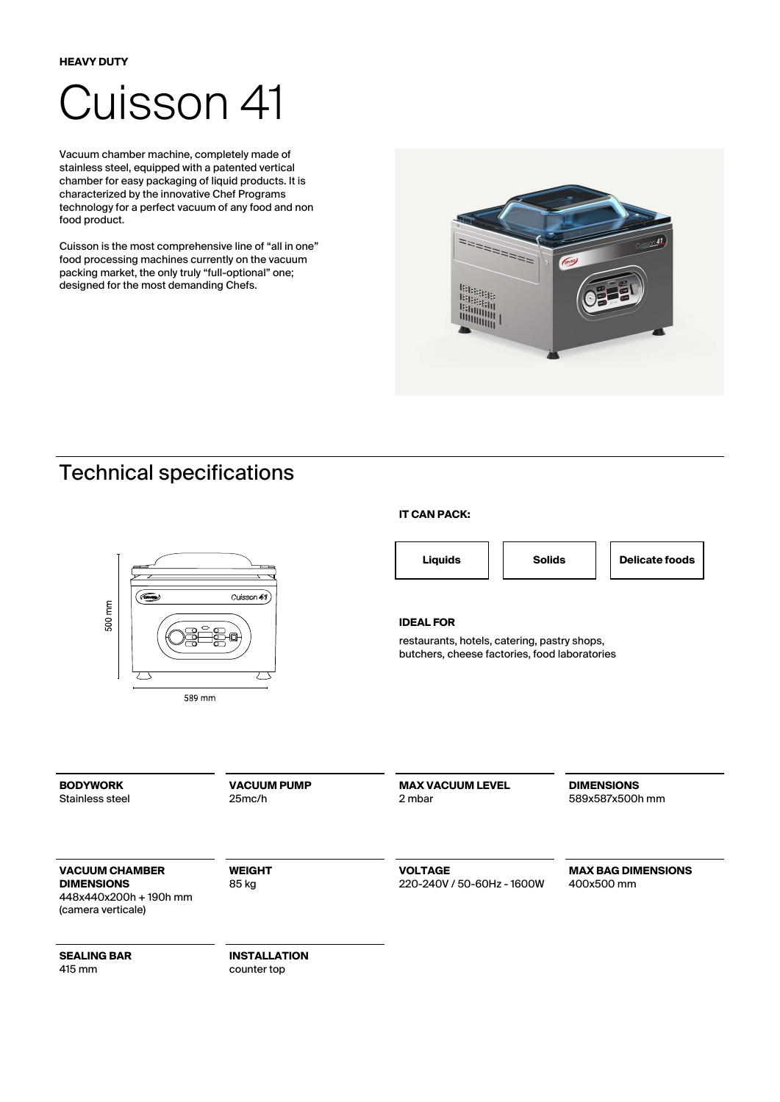# Cuisson 41

Vacuum chamber machine, completely made of stainless steel, equipped with a patented vertical chamber for easy packaging of liquid products. It is characterized by the innovative Chef Programs technology for a perfect vacuum of any food and non food product.

Cuisson is the most comprehensive line of "all in one" food processing machines currently on the vacuum packing market, the only truly "full-optional" one; designed for the most demanding Chefs.



## Technical specifications



#### **IT CAN PACK:**